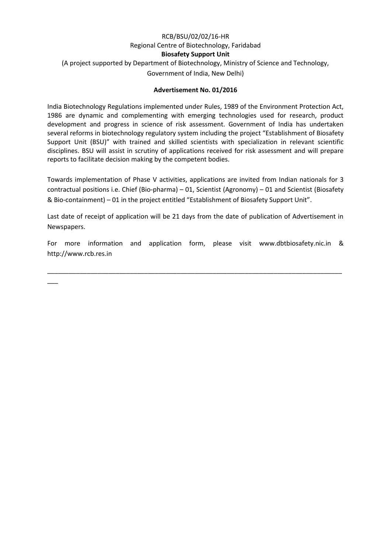# RCB/BSU/02/02/16-HR Regional Centre of Biotechnology, Faridabad **Biosafety Support Unit** (A project supported by Department of Biotechnology, Ministry of Science and Technology, Government of India, New Delhi)

### **Advertisement No. 01/2016**

India Biotechnology Regulations implemented under Rules, 1989 of the Environment Protection Act, 1986 are dynamic and complementing with emerging technologies used for research, product development and progress in science of risk assessment. Government of India has undertaken several reforms in biotechnology regulatory system including the project "Establishment of Biosafety Support Unit (BSU)" with trained and skilled scientists with specialization in relevant scientific disciplines. BSU will assist in scrutiny of applications received for risk assessment and will prepare reports to facilitate decision making by the competent bodies.

Towards implementation of Phase V activities, applications are invited from Indian nationals for 3 contractual positions i.e. Chief (Bio-pharma) – 01, Scientist (Agronomy) – 01 and Scientist (Biosafety & Bio-containment) – 01 in the project entitled "Establishment of Biosafety Support Unit".

Last date of receipt of application will be 21 days from the date of publication of Advertisement in Newspapers.

For more information and application form, please visit [www.dbtbiosafety.nic.in](http://www.dbtbiosafety.nic.in/) & http://www.rcb.res.in

\_\_\_\_\_\_\_\_\_\_\_\_\_\_\_\_\_\_\_\_\_\_\_\_\_\_\_\_\_\_\_\_\_\_\_\_\_\_\_\_\_\_\_\_\_\_\_\_\_\_\_\_\_\_\_\_\_\_\_\_\_\_\_\_\_\_\_\_\_\_\_\_\_\_\_\_\_\_\_\_\_\_

 $\overline{\phantom{a}}$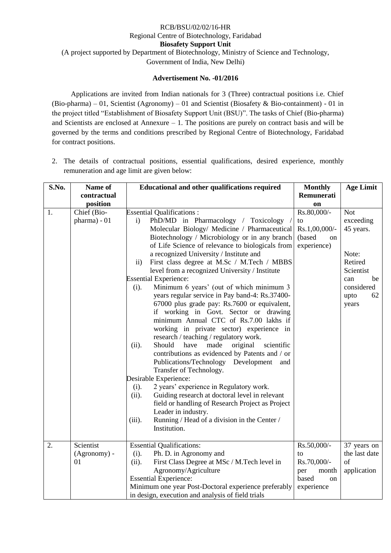### RCB/BSU/02/02/16-HR Regional Centre of Biotechnology, Faridabad **Biosafety Support Unit** (A project supported by Department of Biotechnology, Ministry of Science and Technology, Government of India, New Delhi)

### **Advertisement No. -01/2016**

Applications are invited from Indian nationals for 3 (Three) contractual positions i.e. Chief (Bio-pharma) – 01, Scientist (Agronomy) – 01 and Scientist (Biosafety & Bio-containment) - 01 in the project titled "Establishment of Biosafety Support Unit (BSU)". The tasks of Chief (Bio-pharma) and Scientists are enclosed at Annexure – 1. The positions are purely on contract basis and will be governed by the terms and conditions prescribed by Regional Centre of Biotechnology, Faridabad for contract positions.

2. The details of contractual positions, essential qualifications, desired experience, monthly remuneration and age limit are given below:

| S.No. | Name of                     | <b>Educational and other qualifications required</b>                                                                                                                                                                                                                                                                                                                                                                                                                                                                                                                                                                                                                                                                                                                                                                                                                                                                                                                                                                                                                                                                                                                                      | <b>Monthly</b>                                                    | <b>Age Limit</b>                                                                                                        |
|-------|-----------------------------|-------------------------------------------------------------------------------------------------------------------------------------------------------------------------------------------------------------------------------------------------------------------------------------------------------------------------------------------------------------------------------------------------------------------------------------------------------------------------------------------------------------------------------------------------------------------------------------------------------------------------------------------------------------------------------------------------------------------------------------------------------------------------------------------------------------------------------------------------------------------------------------------------------------------------------------------------------------------------------------------------------------------------------------------------------------------------------------------------------------------------------------------------------------------------------------------|-------------------------------------------------------------------|-------------------------------------------------------------------------------------------------------------------------|
|       | contractual                 |                                                                                                                                                                                                                                                                                                                                                                                                                                                                                                                                                                                                                                                                                                                                                                                                                                                                                                                                                                                                                                                                                                                                                                                           | Remunerati                                                        |                                                                                                                         |
|       | position                    |                                                                                                                                                                                                                                                                                                                                                                                                                                                                                                                                                                                                                                                                                                                                                                                                                                                                                                                                                                                                                                                                                                                                                                                           | on                                                                |                                                                                                                         |
| 1.    | Chief (Bio-<br>pharma) - 01 | <b>Essential Qualifications:</b><br>PhD/MD in Pharmacology / Toxicology /<br>$\mathbf{i}$<br>Molecular Biology/ Medicine / Pharmaceutical<br>Biotechnology / Microbiology or in any branch<br>of Life Science of relevance to biologicals from<br>a recognized University / Institute and<br>First class degree at M.Sc / M.Tech / MBBS<br>$\mathbf{ii}$<br>level from a recognized University / Institute<br><b>Essential Experience:</b><br>Minimum 6 years' (out of which minimum 3<br>$(i)$ .<br>years regular service in Pay band-4: Rs.37400-<br>67000 plus grade pay: Rs.7600 or equivalent,<br>if working in Govt. Sector or drawing<br>minimum Annual CTC of Rs.7.00 lakhs if<br>working in private sector) experience in<br>research / teaching / regulatory work.<br>Should<br>made<br>original<br>scientific<br>(ii).<br>have<br>contributions as evidenced by Patents and / or<br>Publications/Technology<br>Development<br>and<br>Transfer of Technology.<br>Desirable Experience:<br>2 years' experience in Regulatory work.<br>(i).<br>Guiding research at doctoral level in relevant<br>(ii).<br>field or handling of Research Project as Project<br>Leader in industry. | Rs.80,000/-<br>to<br>Rs.1,00,000/-<br>(based<br>on<br>experience) | <b>Not</b><br>exceeding<br>45 years.<br>Note:<br>Retired<br>Scientist<br>be<br>can<br>considered<br>62<br>upto<br>years |
|       |                             | Running / Head of a division in the Center /<br>(iii).<br>Institution.                                                                                                                                                                                                                                                                                                                                                                                                                                                                                                                                                                                                                                                                                                                                                                                                                                                                                                                                                                                                                                                                                                                    |                                                                   |                                                                                                                         |
| 2.    | Scientist                   | <b>Essential Qualifications:</b>                                                                                                                                                                                                                                                                                                                                                                                                                                                                                                                                                                                                                                                                                                                                                                                                                                                                                                                                                                                                                                                                                                                                                          | Rs.50,000/-                                                       | 37 years on                                                                                                             |
|       | (Agronomy) -                | Ph. D. in Agronomy and<br>$(i)$ .                                                                                                                                                                                                                                                                                                                                                                                                                                                                                                                                                                                                                                                                                                                                                                                                                                                                                                                                                                                                                                                                                                                                                         | to                                                                | the last date                                                                                                           |
|       | 01                          | First Class Degree at MSc / M.Tech level in<br>(ii).                                                                                                                                                                                                                                                                                                                                                                                                                                                                                                                                                                                                                                                                                                                                                                                                                                                                                                                                                                                                                                                                                                                                      | Rs.70,000/-                                                       | of                                                                                                                      |
|       |                             | Agronomy/Agriculture                                                                                                                                                                                                                                                                                                                                                                                                                                                                                                                                                                                                                                                                                                                                                                                                                                                                                                                                                                                                                                                                                                                                                                      | per<br>month                                                      | application                                                                                                             |
|       |                             | <b>Essential Experience:</b>                                                                                                                                                                                                                                                                                                                                                                                                                                                                                                                                                                                                                                                                                                                                                                                                                                                                                                                                                                                                                                                                                                                                                              | based<br>on                                                       |                                                                                                                         |
|       |                             | Minimum one year Post-Doctoral experience preferably                                                                                                                                                                                                                                                                                                                                                                                                                                                                                                                                                                                                                                                                                                                                                                                                                                                                                                                                                                                                                                                                                                                                      | experience                                                        |                                                                                                                         |
|       |                             | in design, execution and analysis of field trials                                                                                                                                                                                                                                                                                                                                                                                                                                                                                                                                                                                                                                                                                                                                                                                                                                                                                                                                                                                                                                                                                                                                         |                                                                   |                                                                                                                         |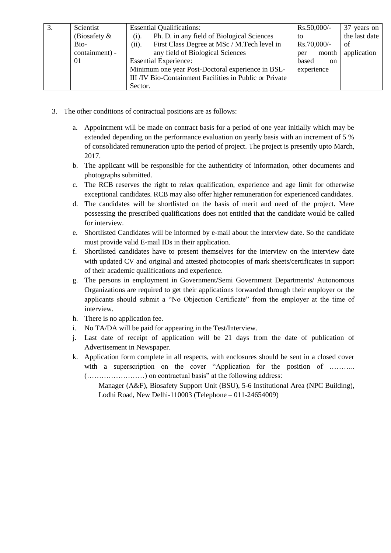| 3. | Scientist       | <b>Essential Qualifications:</b>                        | $Rs.50,000/-$          | 37 years on   |
|----|-----------------|---------------------------------------------------------|------------------------|---------------|
|    | (Biosafety $\&$ | Ph. D. in any field of Biological Sciences<br>$(i)$ .   | to                     | the last date |
|    | Bio-            | First Class Degree at MSc / M.Tech level in<br>(ii).    | $Rs.70,000/-$          | of            |
|    | containment) -  | any field of Biological Sciences                        | month<br>per           | application   |
|    | 01              | <b>Essential Experience:</b>                            | based<br><sub>on</sub> |               |
|    |                 | Minimum one year Post-Doctoral experience in BSL-       | experience             |               |
|    |                 | III /IV Bio-Containment Facilities in Public or Private |                        |               |
|    |                 | Sector.                                                 |                        |               |

- 3. The other conditions of contractual positions are as follows:
	- a. Appointment will be made on contract basis for a period of one year initially which may be extended depending on the performance evaluation on yearly basis with an increment of 5 % of consolidated remuneration upto the period of project. The project is presently upto March, 2017.
	- b. The applicant will be responsible for the authenticity of information, other documents and photographs submitted.
	- c. The RCB reserves the right to relax qualification, experience and age limit for otherwise exceptional candidates. RCB may also offer higher remuneration for experienced candidates.
	- d. The candidates will be shortlisted on the basis of merit and need of the project. Mere possessing the prescribed qualifications does not entitled that the candidate would be called for interview.
	- e. Shortlisted Candidates will be informed by e-mail about the interview date. So the candidate must provide valid E-mail IDs in their application.
	- f. Shortlisted candidates have to present themselves for the interview on the interview date with updated CV and original and attested photocopies of mark sheets/certificates in support of their academic qualifications and experience.
	- g. The persons in employment in Government/Semi Government Departments/ Autonomous Organizations are required to get their applications forwarded through their employer or the applicants should submit a "No Objection Certificate" from the employer at the time of interview.
	- h. There is no application fee.
	- i. No TA/DA will be paid for appearing in the Test/Interview.
	- j. Last date of receipt of application will be 21 days from the date of publication of Advertisement in Newspaper.
	- k. Application form complete in all respects, with enclosures should be sent in a closed cover with a superscription on the cover "Application for the position of ……….. (……………………) on contractual basis" at the following address:

Manager (A&F), Biosafety Support Unit (BSU), 5-6 Institutional Area (NPC Building), Lodhi Road, New Delhi-110003 (Telephone – 011-24654009)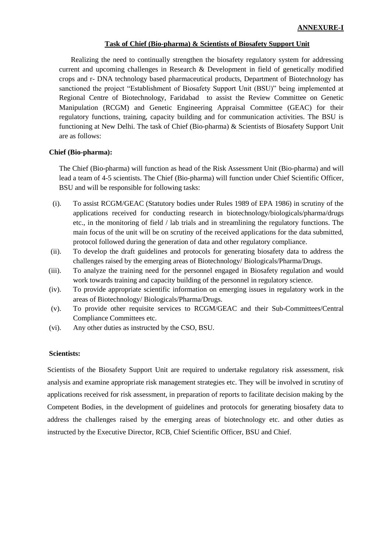#### **Task of Chief (Bio-pharma) & Scientists of Biosafety Support Unit**

Realizing the need to continually strengthen the biosafety regulatory system for addressing current and upcoming challenges in Research & Development in field of genetically modified crops and r- DNA technology based pharmaceutical products, Department of Biotechnology has sanctioned the project "Establishment of Biosafety Support Unit (BSU)" being implemented at Regional Centre of Biotechnology, Faridabad to assist the Review Committee on Genetic Manipulation (RCGM) and Genetic Engineering Appraisal Committee (GEAC) for their regulatory functions, training, capacity building and for communication activities. The BSU is functioning at New Delhi. The task of Chief (Bio-pharma) & Scientists of Biosafety Support Unit are as follows:

#### **Chief (Bio-pharma):**

The Chief (Bio-pharma) will function as head of the Risk Assessment Unit (Bio-pharma) and will lead a team of 4-5 scientists. The Chief (Bio-pharma) will function under Chief Scientific Officer, BSU and will be responsible for following tasks:

- (i). To assist RCGM/GEAC (Statutory bodies under Rules 1989 of EPA 1986) in scrutiny of the applications received for conducting research in biotechnology/biologicals/pharma/drugs etc., in the monitoring of field / lab trials and in streamlining the regulatory functions. The main focus of the unit will be on scrutiny of the received applications for the data submitted, protocol followed during the generation of data and other regulatory compliance.
- (ii). To develop the draft guidelines and protocols for generating biosafety data to address the challenges raised by the emerging areas of Biotechnology/ Biologicals/Pharma/Drugs.
- (iii). To analyze the training need for the personnel engaged in Biosafety regulation and would work towards training and capacity building of the personnel in regulatory science.
- (iv). To provide appropriate scientific information on emerging issues in regulatory work in the areas of Biotechnology/ Biologicals/Pharma/Drugs.
- (v). To provide other requisite services to RCGM/GEAC and their Sub-Committees/Central Compliance Committees etc.
- (vi). Any other duties as instructed by the CSO, BSU.

#### **Scientists:**

Scientists of the Biosafety Support Unit are required to undertake regulatory risk assessment, risk analysis and examine appropriate risk management strategies etc. They will be involved in scrutiny of applications received for risk assessment, in preparation of reports to facilitate decision making by the Competent Bodies, in the development of guidelines and protocols for generating biosafety data to address the challenges raised by the emerging areas of biotechnology etc. and other duties as instructed by the Executive Director, RCB, Chief Scientific Officer, BSU and Chief.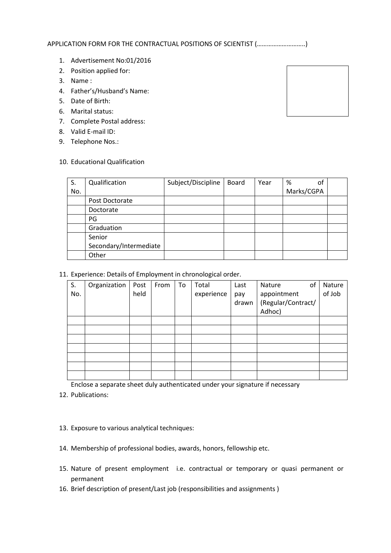APPLICATION FORM FOR THE CONTRACTUAL POSITIONS OF SCIENTIST (.............................)

- 1. Advertisement No:01/2016
- 2. Position applied for:
- 3. Name :
- 4. Father's/Husband's Name:
- 5. Date of Birth:
- 6. Marital status:
- 7. Complete Postal address:
- 8. Valid E-mail ID:
- 9. Telephone Nos.:

### 10. Educational Qualification

| S.  | Qualification          | Subject/Discipline | <b>Board</b> | Year | οf<br>%    |  |
|-----|------------------------|--------------------|--------------|------|------------|--|
| No. |                        |                    |              |      | Marks/CGPA |  |
|     | Post Doctorate         |                    |              |      |            |  |
|     | Doctorate              |                    |              |      |            |  |
|     | PG                     |                    |              |      |            |  |
|     | Graduation             |                    |              |      |            |  |
|     | Senior                 |                    |              |      |            |  |
|     | Secondary/Intermediate |                    |              |      |            |  |
|     | Other                  |                    |              |      |            |  |

11. Experience: Details of Employment in chronological order.

| S.<br>No. | Organization | Post<br>held | From | To | Total<br>experience | Last<br>pay<br>drawn | of<br>Nature<br>appointment<br>(Regular/Contract/ | Nature<br>of Job |
|-----------|--------------|--------------|------|----|---------------------|----------------------|---------------------------------------------------|------------------|
|           |              |              |      |    |                     |                      | Adhoc)                                            |                  |
|           |              |              |      |    |                     |                      |                                                   |                  |
|           |              |              |      |    |                     |                      |                                                   |                  |
|           |              |              |      |    |                     |                      |                                                   |                  |
|           |              |              |      |    |                     |                      |                                                   |                  |
|           |              |              |      |    |                     |                      |                                                   |                  |
|           |              |              |      |    |                     |                      |                                                   |                  |
|           |              |              |      |    |                     |                      |                                                   |                  |

Enclose a separate sheet duly authenticated under your signature if necessary

- 12. Publications:
- 13. Exposure to various analytical techniques:
- 14. Membership of professional bodies, awards, honors, fellowship etc.
- 15. Nature of present employment i.e. contractual or temporary or quasi permanent or permanent
- 16. Brief description of present/Last job (responsibilities and assignments )